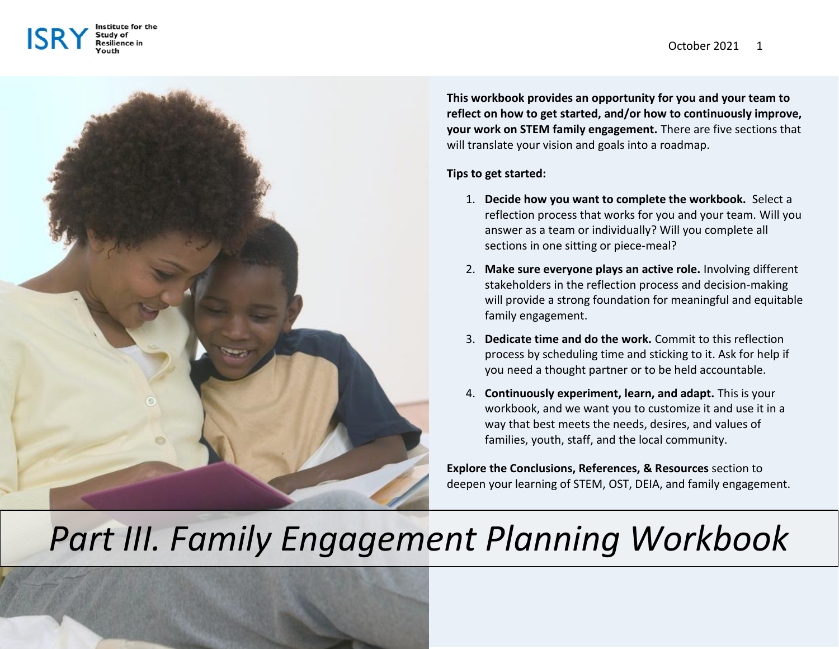





**This workbook provides an opportunity for you and your team to reflect on how to get started, and/or how to continuously improve, your work on STEM family engagement.** There are five sections that will translate your vision and goals into a roadmap.

# **Tips to get started:**

- 1. **Decide how you want to complete the workbook.** Select a reflection process that works for you and your team. Will you answer as a team or individually? Will you complete all sections in one sitting or piece-meal?
- 2. **Make sure everyone plays an active role.** Involving different stakeholders in the reflection process and decision-making will provide a strong foundation for meaningful and equitable family engagement.
- 3. **Dedicate time and do the work.** Commit to this reflection process by scheduling time and sticking to it. Ask for help if you need a thought partner or to be held accountable.
- 4. **Continuously experiment, learn, and adapt.** This is your workbook, and we want you to customize it and use it in a way that best meets the needs, desires, and values of families, youth, staff, and the local community.

**Explore the Conclusions, References, & Resources** section to deepen your learning of STEM, OST, DEIA, and family engagement.

# *Part III. Family Engagement Planning Workbook*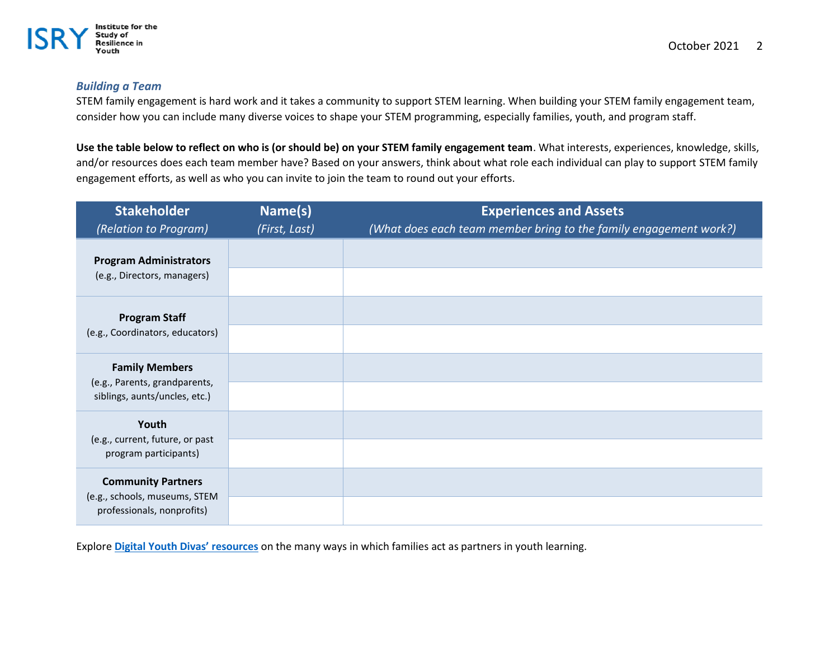

## *Building a Team*

STEM family engagement is hard work and it takes a community to support STEM learning. When building your STEM family engagement team, consider how you can include many diverse voices to shape your STEM programming, especially families, youth, and program staff.

**Use the table below to reflect on who is (or should be) on your STEM family engagement team**. What interests, experiences, knowledge, skills, and/or resources does each team member have? Based on your answers, think about what role each individual can play to support STEM family engagement efforts, as well as who you can invite to join the team to round out your efforts.

| <b>Stakeholder</b>                                                                       | Name(s)       | <b>Experiences and Assets</b>                                     |  |  |
|------------------------------------------------------------------------------------------|---------------|-------------------------------------------------------------------|--|--|
| (Relation to Program)                                                                    | (First, Last) | (What does each team member bring to the family engagement work?) |  |  |
| <b>Program Administrators</b><br>(e.g., Directors, managers)                             |               |                                                                   |  |  |
| <b>Program Staff</b><br>(e.g., Coordinators, educators)                                  |               |                                                                   |  |  |
| <b>Family Members</b><br>(e.g., Parents, grandparents,<br>siblings, aunts/uncles, etc.)  |               |                                                                   |  |  |
| Youth<br>(e.g., current, future, or past<br>program participants)                        |               |                                                                   |  |  |
| <b>Community Partners</b><br>(e.g., schools, museums, STEM<br>professionals, nonprofits) |               |                                                                   |  |  |

Explore **[Digital Youth Divas' resources](http://digitalyouthnetwork.org/divas/dyd-can/)** on the many ways in which families act as partners in youth learning.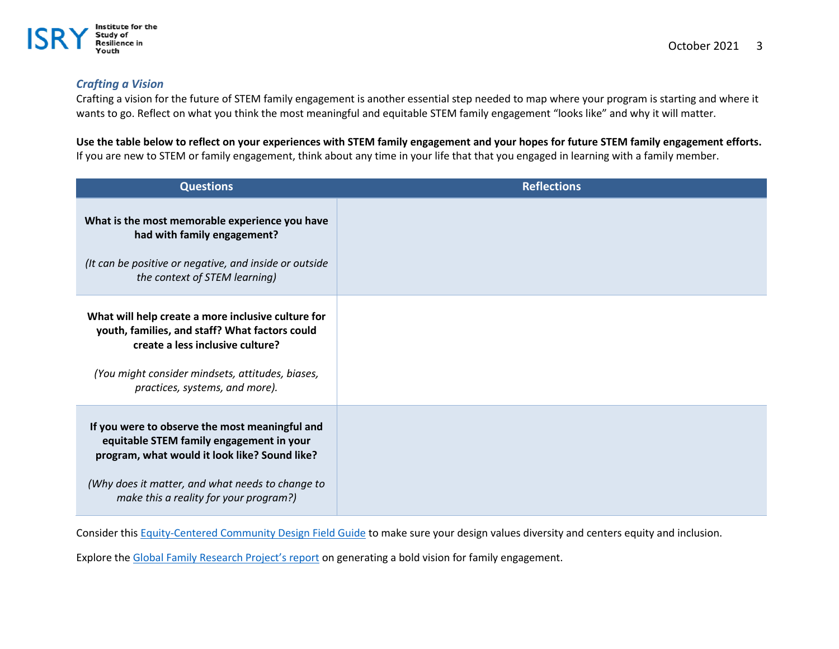

# *Crafting a Vision*

Crafting a vision for the future of STEM family engagement is another essential step needed to map where your program is starting and where it wants to go. Reflect on what you think the most meaningful and equitable STEM family engagement "looks like" and why it will matter.

**Use the table below to reflect on your experiences with STEM family engagement and your hopes for future STEM family engagement efforts.**  If you are new to STEM or family engagement, think about any time in your life that that you engaged in learning with a family member.

| <b>Questions</b>                                                                                                                                                                                                                          | <b>Reflections</b> |
|-------------------------------------------------------------------------------------------------------------------------------------------------------------------------------------------------------------------------------------------|--------------------|
| What is the most memorable experience you have<br>had with family engagement?<br>(It can be positive or negative, and inside or outside<br>the context of STEM learning)                                                                  |                    |
| What will help create a more inclusive culture for<br>youth, families, and staff? What factors could<br>create a less inclusive culture?<br>(You might consider mindsets, attitudes, biases,<br>practices, systems, and more).            |                    |
| If you were to observe the most meaningful and<br>equitable STEM family engagement in your<br>program, what would it look like? Sound like?<br>(Why does it matter, and what needs to change to<br>make this a reality for your program?) |                    |

Consider this [Equity-Centered Community Design Field Guide](https://www.creativereactionlab.com/store/p/field-guide-equity-centered-community-design) to make sure your design values diversity and centers equity and inclusion.

Explore the [Global Family Research Project's report](https://globalfrp.org/content/download/419/3823/file/GFRP_Family%20Engagement%20Carnegie%20Report.pdf) on generating a bold vision for family engagement.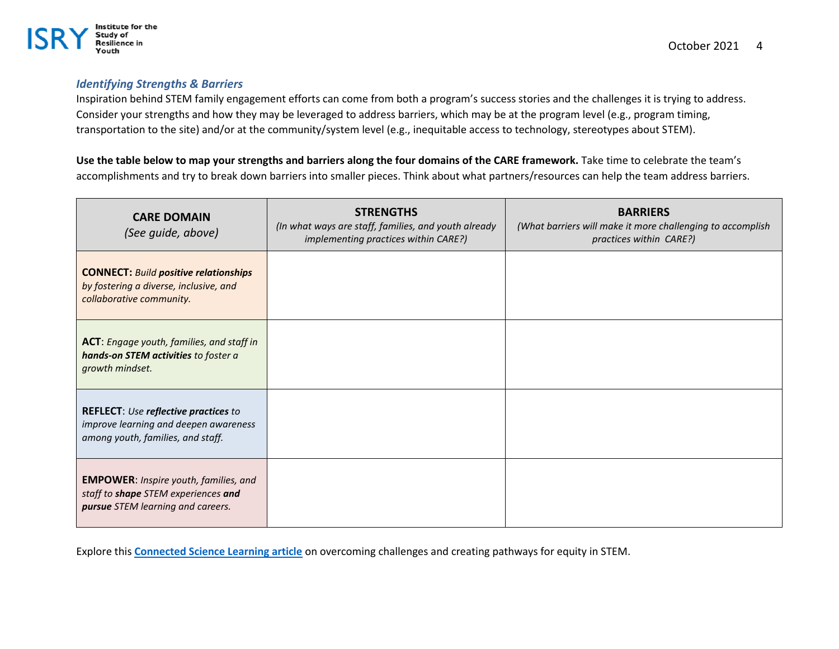

## *Identifying Strengths & Barriers*

Inspiration behind STEM family engagement efforts can come from both a program's success stories and the challenges it is trying to address. Consider your strengths and how they may be leveraged to address barriers, which may be at the program level (e.g., program timing, transportation to the site) and/or at the community/system level (e.g., inequitable access to technology, stereotypes about STEM).

**Use the table below to map your strengths and barriers along the four domains of the CARE framework.** Take time to celebrate the team's accomplishments and try to break down barriers into smaller pieces. Think about what partners/resources can help the team address barriers.

| <b>CARE DOMAIN</b><br>(See guide, above)                                                                                  | <b>STRENGTHS</b><br>(In what ways are staff, families, and youth already<br>implementing practices within CARE?) | <b>BARRIERS</b><br>(What barriers will make it more challenging to accomplish<br>practices within CARE?) |
|---------------------------------------------------------------------------------------------------------------------------|------------------------------------------------------------------------------------------------------------------|----------------------------------------------------------------------------------------------------------|
| <b>CONNECT: Build positive relationships</b><br>by fostering a diverse, inclusive, and<br>collaborative community.        |                                                                                                                  |                                                                                                          |
| <b>ACT</b> : Engage youth, families, and staff in<br>hands-on STEM activities to foster a<br>growth mindset.              |                                                                                                                  |                                                                                                          |
| <b>REFLECT:</b> Use reflective practices to<br>improve learning and deepen awareness<br>among youth, families, and staff. |                                                                                                                  |                                                                                                          |
| <b>EMPOWER: Inspire youth, families, and</b><br>staff to shape STEM experiences and<br>pursue STEM learning and careers.  |                                                                                                                  |                                                                                                          |

Explore this **[Connected Science Learning article](https://www.nsta.org/connected-science-learning/connected-science-learning-october-december-2020/creating-pathways)** on overcoming challenges and creating pathways for equity in STEM.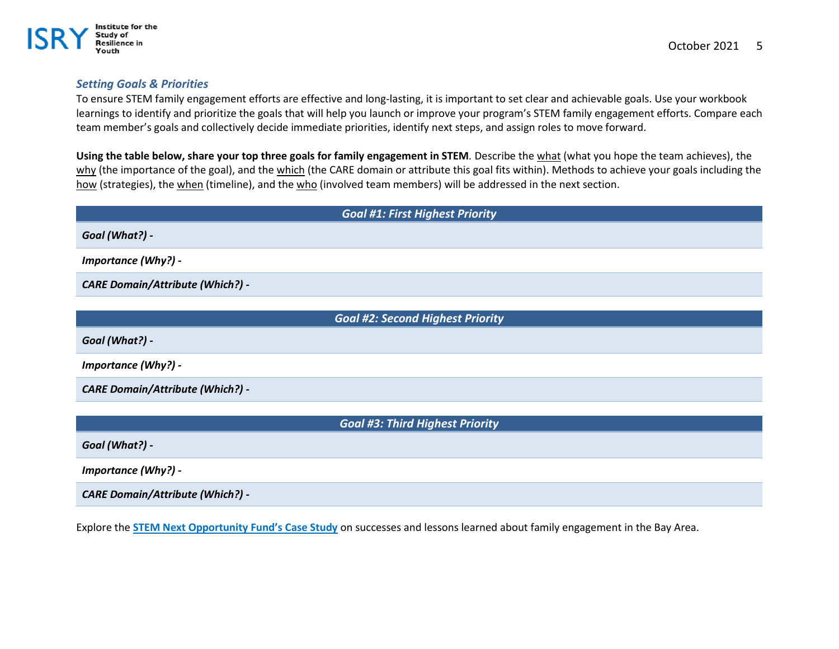

## *Setting Goals & Priorities*

Institute for the Study of **Resilience in** fouth

To ensure STEM family engagement efforts are effective and long-lasting, it is important to set clear and achievable goals. Use your workbook learnings to identify and prioritize the goals that will help you launch or improve your program's STEM family engagement efforts. Compare each team member's goals and collectively decide immediate priorities, identify next steps, and assign roles to move forward.

**Using the table below, share your top three goals for family engagement in STEM***.* Describe the what (what you hope the team achieves), the why (the importance of the goal), and the which (the CARE domain or attribute this goal fits within). Methods to achieve your goals including the how (strategies), the when (timeline), and the who (involved team members) will be addressed in the next section.

| <b>Goal #1: First Highest Priority</b>  |
|-----------------------------------------|
| Goal (What?) -                          |
| <b>Importance (Why?) -</b>              |
| <b>CARE Domain/Attribute (Which?) -</b> |
|                                         |
| <b>Goal #2: Second Highest Priority</b> |
| Goal (What?) -                          |
| <b>Importance (Why?) -</b>              |
| <b>CARE Domain/Attribute (Which?) -</b> |

*Goal #3: Third Highest Priority*

*Goal (What?) -*

*Importance (Why?) -*

*CARE Domain/Attribute (Which?) -*

Explore the **[STEM Next Opportunity Fund's Case Study](https://stemnext.org/wp-content/uploads/2019/03/Case-Study-Bay-Area-STEM-Ecosystem-Engages-Families.pdf)** on successes and lessons learned about family engagement in the Bay Area.